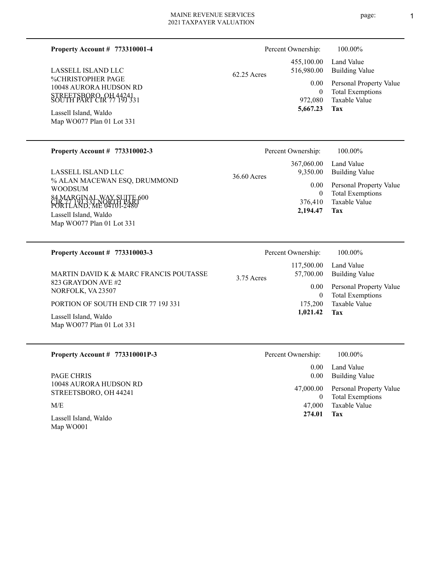## **773310001-4 Property Account #**

%CHRISTOPHER PAGE 10048 AURORA HUDSON RD STREETSBORO, OH 44241 SOUTH PART CIR 77 19J 331 LASSELL ISLAND LLC

Map WO077 Plan 01 Lot 331 Lassell Island, Waldo

# **773310002-3 Property Account #**

% ALAN MACEWAN ESQ, DRUMMOND WOODSUM 84 MARGINAL WAY SUITE 600 čIR' 77 \9J 33T NORTH PART<br>PORTLAND, ME 04101-2480 Map WO077 Plan 01 Lot 331 Lassell Island, Waldo LASSELL ISLAND LLC

62.25 Acres

Taxable Value Total Exemptions Personal Property Value Building Value Land Value 972,080 0 455,100.00 516,980.00 0.00

### **Tax 5,667.23**

Percent Ownership:  $100.00\%$ 

|             | 2,194.47           | <b>Tax</b>              |
|-------------|--------------------|-------------------------|
|             |                    | 376,410 Taxable Value   |
|             | $\theta$           | <b>Total Exemptions</b> |
|             | $0.00\,$           | Personal Property Value |
| 36.60 Acres |                    | 9,350.00 Building Value |
|             |                    | 367,060.00 Land Value   |
|             | Percent Ownership: | 100.00%                 |

| <b>Property Account # 773310003-3</b>              | Percent Ownership:                      | 100.00%                                                 |
|----------------------------------------------------|-----------------------------------------|---------------------------------------------------------|
| MARTIN DAVID K & MARC FRANCIS POUTASSE             | 117,500.00<br>57,700.00<br>$3.75$ Acres | Land Value<br><b>Building Value</b>                     |
| 823 GRAYDON AVE #2<br>NORFOLK, VA 23507            | 0.00 <sub>1</sub>                       | Personal Property Value<br><b>Total Exemptions</b><br>0 |
| PORTION OF SOUTH END CIR 77 19J 331                | 175,200                                 | Taxable Value                                           |
| Lassell Island, Waldo<br>Map WO077 Plan 01 Lot 331 | 1,021.42                                | Tax                                                     |

| Property Account $\#$ 773310001P-3              | Percent Ownership: | 100.00%                                            |
|-------------------------------------------------|--------------------|----------------------------------------------------|
| <b>PAGE CHRIS</b>                               | 0.00<br>0.00       | Land Value<br><b>Building Value</b>                |
| 10048 AURORA HUDSON RD<br>STREETSBORO, OH 44241 | 47,000.00<br>0     | Personal Property Value<br><b>Total Exemptions</b> |
| M/E                                             | 47,000             | Taxable Value                                      |
| Lassell Island, Waldo<br>Map WO001              | 274.01             | Tax                                                |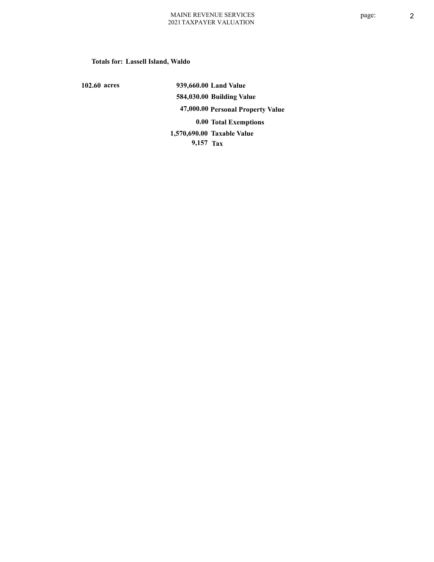## **Totals for: Lassell Island, Waldo**

**102.60 acres**

**939,660.00 Land Value 584,030.00 Building Value 47,000.00 Personal Property Value 0.00 Total Exemptions 9,157 Tax Taxable Value 1,570,690.00**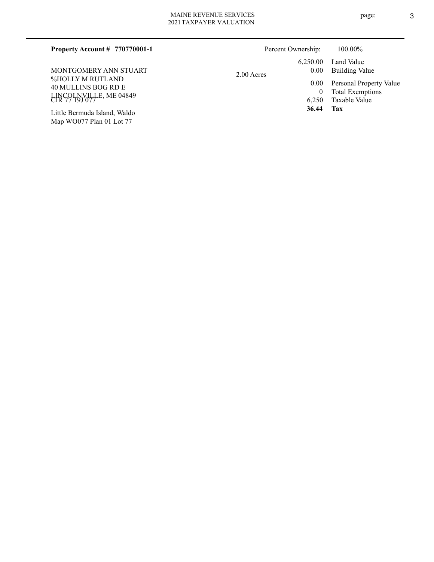Map WO077 Plan 01 Lot 77

| Property Account $\#$ 770770001-1         | Percent Ownership: |                            | 100.00%                      |
|-------------------------------------------|--------------------|----------------------------|------------------------------|
| MONTGOMERY ANN STUART<br>%HOLLY M RUTLAND | 2.00 Acres         | 6.250.00<br>0.00           | Land Value<br>Building Value |
| 40 MULLINS BOG RD E                       |                    | $0.00^{\circ}$<br>$\theta$ | Personal Property Value      |
| LINCOLNVILLE, ME 04849                    |                    |                            | <b>Total Exemptions</b>      |
|                                           |                    | 6.250                      | Taxable Value                |
| Little Bermuda Island, Waldo              |                    | 36.44                      | Tax                          |